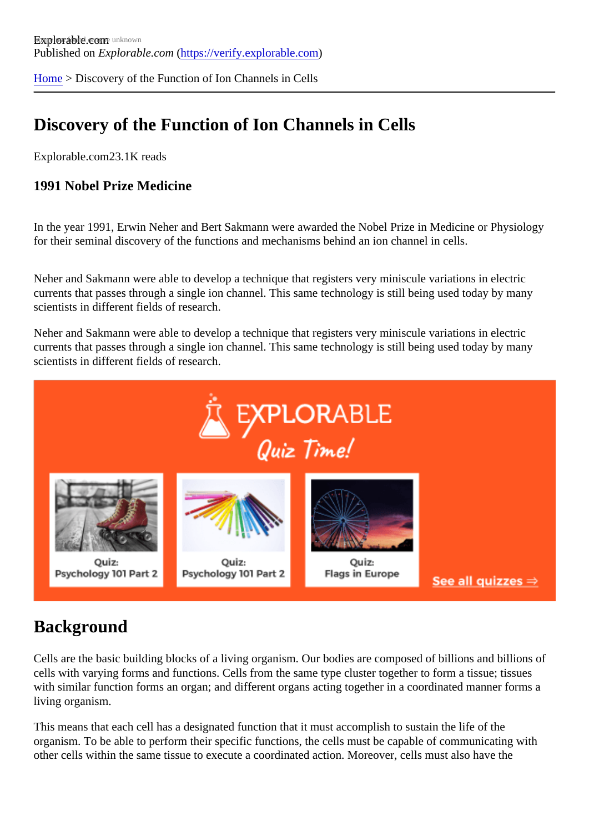[Home](https://verify.explorable.com/) > Discovery of the Function of Ion Channels in Cells

# Discovery of the Function of Ion Channels in Cells

Explorable.com23.1K reads

1991 Nobel Prize Medicine

In the year 1991, Erwin Neher and Bert Sakmann were awarded the Nobel Prize in Medicine or Physiolog for their seminal discovery of the functions and mechanisms behind an ion channel in cells.

Neher and Sakmann were able to develop a technique that registers very miniscule variations in electric currents that passes through a single ion channel. This same technology is still being used today by many scientists in different fields of research.

Neher and Sakmann were able to develop a technique that registers very miniscule variations in electric currents that passes through a single ion channel. This same technology is still being used today by many scientists in different fields of research.

#### **Background**

Cells are the basic building blocks of a living organism. Our bodies are composed of billions and billions of cells with varying forms and functions. Cells from the same type cluster together to form a tissue; tissues with similar function forms an organ; and different organs acting together in a coordinated manner forms a living organism.

This means that each cell has a designated function that it must accomplish to sustain the life of the organism. To be able to perform their specific functions, the cells must be capable of communicating with other cells within the same tissue to execute a coordinated action. Moreover, cells must also have the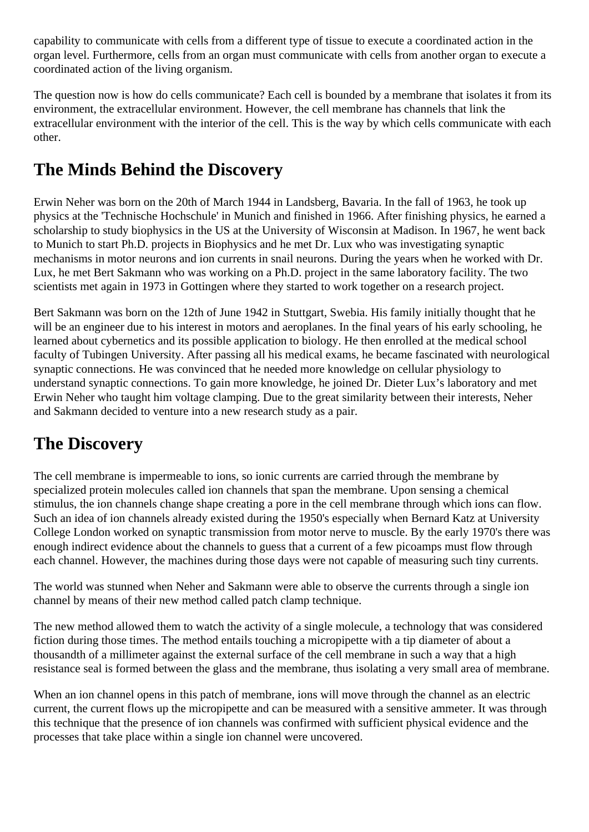capability to communicate with cells from a different type of tissue to execute a coordinated action in the organ level. Furthermore, cells from an organ must communicate with cells from another organ to execute a coordinated action of the living organism.

The question now is how do cells communicate? Each cell is bounded by a membrane that isolates it from its environment, the extracellular environment. However, the cell membrane has channels that link the extracellular environment with the interior of the cell. This is the way by which cells communicate with each other.

# **The Minds Behind the Discovery**

Erwin Neher was born on the 20th of March 1944 in Landsberg, Bavaria. In the fall of 1963, he took up physics at the 'Technische Hochschule' in Munich and finished in 1966. After finishing physics, he earned a scholarship to study biophysics in the US at the University of Wisconsin at Madison. In 1967, he went back to Munich to start Ph.D. projects in Biophysics and he met Dr. Lux who was investigating synaptic mechanisms in motor neurons and ion currents in snail neurons. During the years when he worked with Dr. Lux, he met Bert Sakmann who was working on a Ph.D. project in the same laboratory facility. The two scientists met again in 1973 in Gottingen where they started to work together on a research project.

Bert Sakmann was born on the 12th of June 1942 in Stuttgart, Swebia. His family initially thought that he will be an engineer due to his interest in motors and aeroplanes. In the final years of his early schooling, he learned about cybernetics and its possible application to biology. He then enrolled at the medical school faculty of Tubingen University. After passing all his medical exams, he became fascinated with neurological synaptic connections. He was convinced that he needed more knowledge on cellular physiology to understand synaptic connections. To gain more knowledge, he joined Dr. Dieter Lux's laboratory and met Erwin Neher who taught him voltage clamping. Due to the great similarity between their interests, Neher and Sakmann decided to venture into a new research study as a pair.

#### **The Discovery**

The cell membrane is impermeable to ions, so ionic currents are carried through the membrane by specialized protein molecules called ion channels that span the membrane. Upon sensing a chemical stimulus, the ion channels change shape creating a pore in the cell membrane through which ions can flow. Such an idea of ion channels already existed during the 1950's especially when Bernard Katz at University College London worked on synaptic transmission from motor nerve to muscle. By the early 1970's there was enough indirect evidence about the channels to guess that a current of a few picoamps must flow through each channel. However, the machines during those days were not capable of measuring such tiny currents.

The world was stunned when Neher and Sakmann were able to observe the currents through a single ion channel by means of their new method called patch clamp technique.

The new method allowed them to watch the activity of a single molecule, a technology that was considered fiction during those times. The method entails touching a micropipette with a tip diameter of about a thousandth of a millimeter against the external surface of the cell membrane in such a way that a high resistance seal is formed between the glass and the membrane, thus isolating a very small area of membrane.

When an ion channel opens in this patch of membrane, ions will move through the channel as an electric current, the current flows up the micropipette and can be measured with a sensitive ammeter. It was through this technique that the presence of ion channels was confirmed with sufficient physical evidence and the processes that take place within a single ion channel were uncovered.